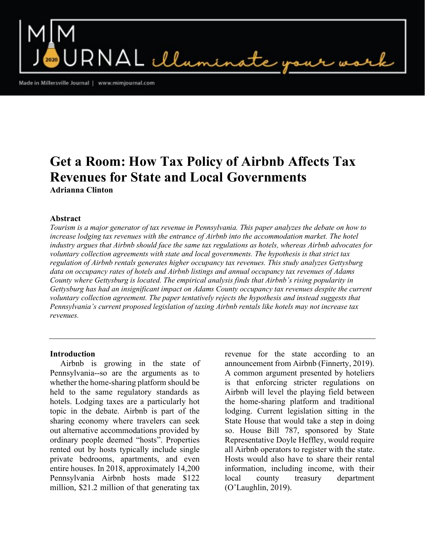$\mathsf{RNAL}\ \mathcal{U}$ umi

Made in Millersville Journal | www.mimjournal.com

# Get a Room: How Tax Policy of Airbnb Affects Tax Revenues for State and Local Governments Adrianna Clinton

#### Abstract

Tourism is a major generator of tax revenue in Pennsylvania. This paper analyzes the debate on how to increase lodging tax revenues with the entrance of Airbnb into the accommodation market. The hotel industry argues that Airbnb should face the same tax regulations as hotels, whereas Airbnb advocates for voluntary collection agreements with state and local governments. The hypothesis is that strict tax regulation of Airbnb rentals generates higher occupancy tax revenues. This study analyzes Gettysburg data on occupancy rates of hotels and Airbnb listings and annual occupancy tax revenues of Adams County where Gettysburg is located. The empirical analysis finds that Airbnb's rising popularity in Gettysburg has had an insignificant impact on Adams County occupancy tax revenues despite the current voluntary collection agreement. The paper tentatively rejects the hypothesis and instead suggests that Pennsylvania's current proposed legislation of taxing Airbnb rentals like hotels may not increase tax revenues.

#### Introduction

 Airbnb is growing in the state of Pennsylvania--so are the arguments as to whether the home-sharing platform should be held to the same regulatory standards as hotels. Lodging taxes are a particularly hot topic in the debate. Airbnb is part of the sharing economy where travelers can seek out alternative accommodations provided by ordinary people deemed "hosts". Properties rented out by hosts typically include single private bedrooms, apartments, and even entire houses. In 2018, approximately 14,200 Pennsylvania Airbnb hosts made \$122 million, \$21.2 million of that generating tax

revenue for the state according to an announcement from Airbnb (Finnerty, 2019). A common argument presented by hoteliers is that enforcing stricter regulations on Airbnb will level the playing field between the home-sharing platform and traditional lodging. Current legislation sitting in the State House that would take a step in doing so. House Bill 787, sponsored by State Representative Doyle Heffley, would require all Airbnb operators to register with the state. Hosts would also have to share their rental information, including income, with their local county treasury department (O'Laughlin, 2019).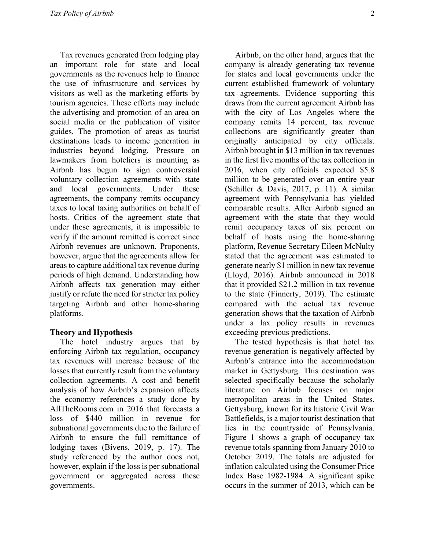Tax revenues generated from lodging play an important role for state and local governments as the revenues help to finance the use of infrastructure and services by visitors as well as the marketing efforts by tourism agencies. These efforts may include the advertising and promotion of an area on social media or the publication of visitor guides. The promotion of areas as tourist destinations leads to income generation in industries beyond lodging. Pressure on lawmakers from hoteliers is mounting as Airbnb has begun to sign controversial voluntary collection agreements with state and local governments. Under these agreements, the company remits occupancy taxes to local taxing authorities on behalf of hosts. Critics of the agreement state that under these agreements, it is impossible to verify if the amount remitted is correct since Airbnb revenues are unknown. Proponents, however, argue that the agreements allow for areas to capture additional tax revenue during periods of high demand. Understanding how Airbnb affects tax generation may either justify or refute the need for stricter tax policy targeting Airbnb and other home-sharing platforms.

# Theory and Hypothesis

 The hotel industry argues that by enforcing Airbnb tax regulation, occupancy tax revenues will increase because of the losses that currently result from the voluntary collection agreements. A cost and benefit analysis of how Airbnb's expansion affects the economy references a study done by AllTheRooms.com in 2016 that forecasts a loss of \$440 million in revenue for subnational governments due to the failure of Airbnb to ensure the full remittance of lodging taxes (Bivens, 2019, p. 17). The study referenced by the author does not, however, explain if the loss is per subnational government or aggregated across these governments.

 Airbnb, on the other hand, argues that the company is already generating tax revenue for states and local governments under the current established framework of voluntary tax agreements. Evidence supporting this draws from the current agreement Airbnb has with the city of Los Angeles where the company remits 14 percent, tax revenue collections are significantly greater than originally anticipated by city officials. Airbnb brought in \$13 million in tax revenues in the first five months of the tax collection in 2016, when city officials expected \$5.8 million to be generated over an entire year (Schiller & Davis, 2017, p. 11). A similar agreement with Pennsylvania has yielded comparable results. After Airbnb signed an agreement with the state that they would remit occupancy taxes of six percent on behalf of hosts using the home-sharing platform, Revenue Secretary Eileen McNulty stated that the agreement was estimated to generate nearly \$1 million in new tax revenue (Lloyd, 2016). Airbnb announced in 2018 that it provided \$21.2 million in tax revenue to the state (Finnerty, 2019). The estimate compared with the actual tax revenue generation shows that the taxation of Airbnb under a lax policy results in revenues exceeding previous predictions.

 The tested hypothesis is that hotel tax revenue generation is negatively affected by Airbnb's entrance into the accommodation market in Gettysburg. This destination was selected specifically because the scholarly literature on Airbnb focuses on major metropolitan areas in the United States. Gettysburg, known for its historic Civil War Battlefields, is a major tourist destination that lies in the countryside of Pennsylvania. Figure 1 shows a graph of occupancy tax revenue totals spanning from January 2010 to October 2019. The totals are adjusted for inflation calculated using the Consumer Price Index Base 1982-1984. A significant spike occurs in the summer of 2013, which can be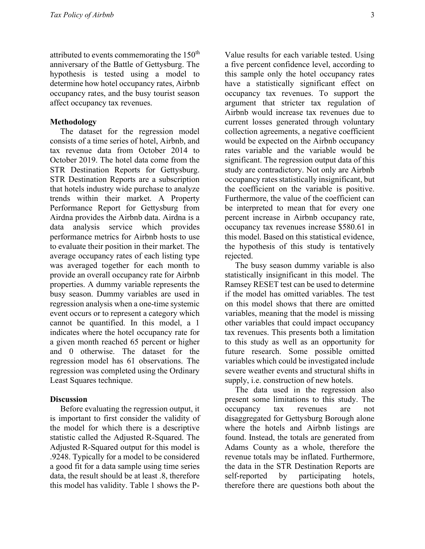attributed to events commemorating the  $150<sup>th</sup>$ anniversary of the Battle of Gettysburg. The hypothesis is tested using a model to determine how hotel occupancy rates, Airbnb occupancy rates, and the busy tourist season affect occupancy tax revenues.

#### Methodology

 The dataset for the regression model consists of a time series of hotel, Airbnb, and tax revenue data from October 2014 to October 2019. The hotel data come from the STR Destination Reports for Gettysburg. STR Destination Reports are a subscription that hotels industry wide purchase to analyze trends within their market. A Property Performance Report for Gettysburg from Airdna provides the Airbnb data. Airdna is a data analysis service which provides performance metrics for Airbnb hosts to use to evaluate their position in their market. The average occupancy rates of each listing type was averaged together for each month to provide an overall occupancy rate for Airbnb properties. A dummy variable represents the busy season. Dummy variables are used in regression analysis when a one-time systemic event occurs or to represent a category which cannot be quantified. In this model, a 1 indicates where the hotel occupancy rate for a given month reached 65 percent or higher and 0 otherwise. The dataset for the regression model has 61 observations. The regression was completed using the Ordinary Least Squares technique.

#### **Discussion**

 Before evaluating the regression output, it is important to first consider the validity of the model for which there is a descriptive statistic called the Adjusted R-Squared. The Adjusted R-Squared output for this model is .9248. Typically for a model to be considered a good fit for a data sample using time series data, the result should be at least .8, therefore this model has validity. Table 1 shows the P-

Value results for each variable tested. Using a five percent confidence level, according to this sample only the hotel occupancy rates have a statistically significant effect on occupancy tax revenues. To support the argument that stricter tax regulation of Airbnb would increase tax revenues due to current losses generated through voluntary collection agreements, a negative coefficient would be expected on the Airbnb occupancy rates variable and the variable would be significant. The regression output data of this study are contradictory. Not only are Airbnb occupancy rates statistically insignificant, but the coefficient on the variable is positive. Furthermore, the value of the coefficient can be interpreted to mean that for every one percent increase in Airbnb occupancy rate, occupancy tax revenues increase \$580.61 in this model. Based on this statistical evidence, the hypothesis of this study is tentatively rejected.

 The busy season dummy variable is also statistically insignificant in this model. The Ramsey RESET test can be used to determine if the model has omitted variables. The test on this model shows that there are omitted variables, meaning that the model is missing other variables that could impact occupancy tax revenues. This presents both a limitation to this study as well as an opportunity for future research. Some possible omitted variables which could be investigated include severe weather events and structural shifts in supply, i.e. construction of new hotels.

 The data used in the regression also present some limitations to this study. The occupancy tax revenues are not disaggregated for Gettysburg Borough alone where the hotels and Airbnb listings are found. Instead, the totals are generated from Adams County as a whole, therefore the revenue totals may be inflated. Furthermore, the data in the STR Destination Reports are self-reported by participating hotels, therefore there are questions both about the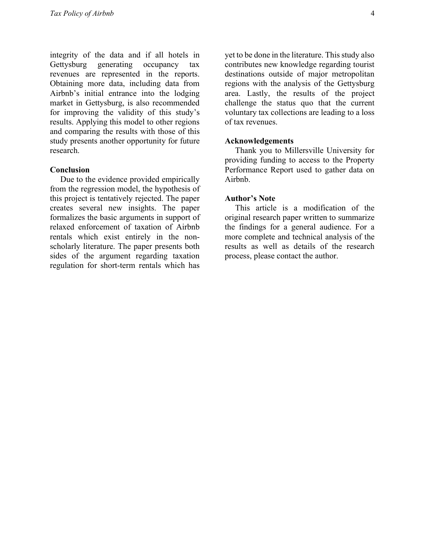integrity of the data and if all hotels in Gettysburg generating occupancy tax revenues are represented in the reports. Obtaining more data, including data from Airbnb's initial entrance into the lodging market in Gettysburg, is also recommended for improving the validity of this study's results. Applying this model to other regions and comparing the results with those of this study presents another opportunity for future research.

#### Conclusion

 Due to the evidence provided empirically from the regression model, the hypothesis of this project is tentatively rejected. The paper creates several new insights. The paper formalizes the basic arguments in support of relaxed enforcement of taxation of Airbnb rentals which exist entirely in the nonscholarly literature. The paper presents both sides of the argument regarding taxation regulation for short-term rentals which has

yet to be done in the literature. This study also contributes new knowledge regarding tourist destinations outside of major metropolitan regions with the analysis of the Gettysburg area. Lastly, the results of the project challenge the status quo that the current voluntary tax collections are leading to a loss of tax revenues.

#### Acknowledgements

 Thank you to Millersville University for providing funding to access to the Property Performance Report used to gather data on Airbnb.

## Author's Note

 This article is a modification of the original research paper written to summarize the findings for a general audience. For a more complete and technical analysis of the results as well as details of the research process, please contact the author.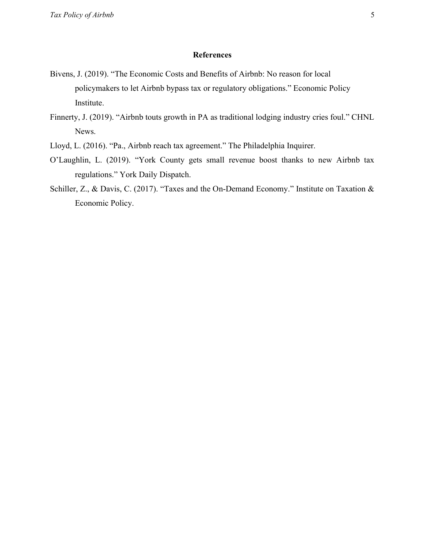### **References**

- Bivens, J. (2019). "The Economic Costs and Benefits of Airbnb: No reason for local policymakers to let Airbnb bypass tax or regulatory obligations." Economic Policy Institute.
- Finnerty, J. (2019). "Airbnb touts growth in PA as traditional lodging industry cries foul." CHNL News.
- Lloyd, L. (2016). "Pa., Airbnb reach tax agreement." The Philadelphia Inquirer.
- O'Laughlin, L. (2019). "York County gets small revenue boost thanks to new Airbnb tax regulations." York Daily Dispatch.
- Schiller, Z., & Davis, C. (2017). "Taxes and the On-Demand Economy." Institute on Taxation & Economic Policy.